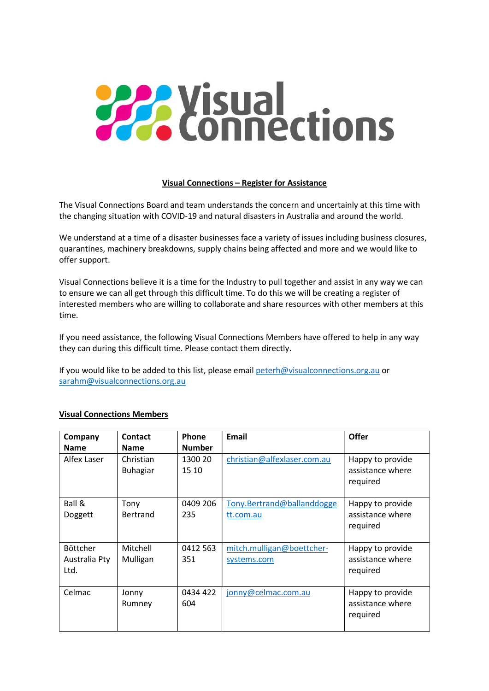## **PAR Visual**<br> **Connections**

## Visual Connections – Register for Assistance

The Visual Connections Board and team understands the concern and uncertainly at this time with the changing situation with COVID-19 and natural disasters in Australia and around the world.

We understand at a time of a disaster businesses face a variety of issues including business closures, quarantines, machinery breakdowns, supply chains being affected and more and we would like to offer support.

Visual Connections believe it is a time for the Industry to pull together and assist in any way we can to ensure we can all get through this difficult time. To do this we will be creating a register of interested members who are willing to collaborate and share resources with other members at this time.

If you need assistance, the following Visual Connections Members have offered to help in any way they can during this difficult time. Please contact them directly.

If you would like to be added to this list, please email peterh@visualconnections.org.au or sarahm@visualconnections.org.au

| Company       | Contact         | Phone         | Email                       | <b>Offer</b>     |
|---------------|-----------------|---------------|-----------------------------|------------------|
| <b>Name</b>   | <b>Name</b>     | <b>Number</b> |                             |                  |
| Alfex Laser   | Christian       | 1300 20       | christian@alfexlaser.com.au | Happy to provide |
|               | <b>Buhagiar</b> | 15 10         |                             | assistance where |
|               |                 |               |                             | required         |
|               |                 |               |                             |                  |
| Ball &        | Tony            | 0409 206      | Tony.Bertrand@ballanddogge  | Happy to provide |
| Doggett       | Bertrand        | 235           | tt.com.au                   | assistance where |
|               |                 |               |                             | required         |
|               |                 |               |                             |                  |
| Böttcher      | Mitchell        | 0412 563      | mitch.mulligan@boettcher-   | Happy to provide |
| Australia Pty | Mulligan        | 351           | systems.com                 | assistance where |
| Ltd.          |                 |               |                             | required         |
|               |                 |               |                             |                  |
| Celmac        | Jonny           | 0434 422      | jonny@celmac.com.au         | Happy to provide |
|               | Rumney          | 604           |                             | assistance where |
|               |                 |               |                             | required         |
|               |                 |               |                             |                  |

## Visual Connections Members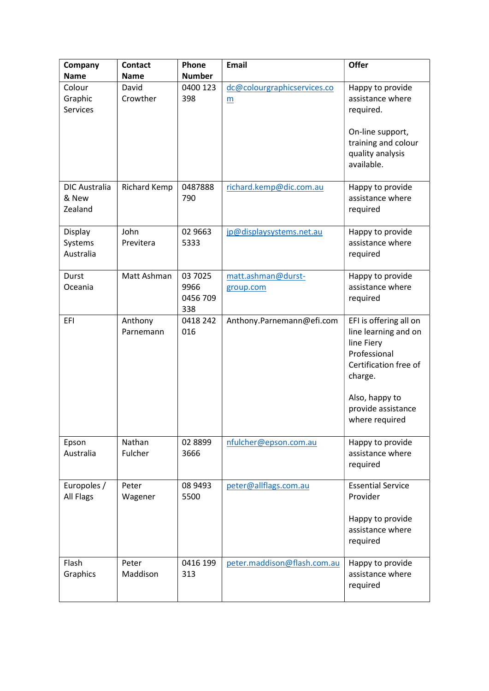| Company                                  | <b>Contact</b>       | Phone                              | <b>Email</b>                     | Offer                                                                                                                                                                      |
|------------------------------------------|----------------------|------------------------------------|----------------------------------|----------------------------------------------------------------------------------------------------------------------------------------------------------------------------|
| <b>Name</b>                              | <b>Name</b>          | <b>Number</b>                      |                                  |                                                                                                                                                                            |
| Colour<br>Graphic<br><b>Services</b>     | David<br>Crowther    | 0400 123<br>398                    | dc@colourgraphicservices.co<br>m | Happy to provide<br>assistance where<br>required.<br>On-line support,<br>training and colour<br>quality analysis<br>available.                                             |
| <b>DIC Australia</b><br>& New<br>Zealand | Richard Kemp         | 0487888<br>790                     | richard.kemp@dic.com.au          | Happy to provide<br>assistance where<br>required                                                                                                                           |
| Display<br>Systems<br>Australia          | John<br>Previtera    | 02 9663<br>5333                    | jp@displaysystems.net.au         | Happy to provide<br>assistance where<br>required                                                                                                                           |
| Durst<br>Oceania                         | Matt Ashman          | 03 7025<br>9966<br>0456 709<br>338 | matt.ashman@durst-<br>group.com  | Happy to provide<br>assistance where<br>required                                                                                                                           |
| EFI                                      | Anthony<br>Parnemann | 0418 242<br>016                    | Anthony.Parnemann@efi.com        | EFI is offering all on<br>line learning and on<br>line Fiery<br>Professional<br>Certification free of<br>charge.<br>Also, happy to<br>provide assistance<br>where required |
| Epson<br>Australia                       | Nathan<br>Fulcher    | 02 8899<br>3666                    | nfulcher@epson.com.au            | Happy to provide<br>assistance where<br>required                                                                                                                           |
| Europoles /<br>All Flags                 | Peter<br>Wagener     | 08 9493<br>5500                    | peter@allflags.com.au            | <b>Essential Service</b><br>Provider<br>Happy to provide<br>assistance where<br>required                                                                                   |
| Flash<br>Graphics                        | Peter<br>Maddison    | 0416 199<br>313                    | peter.maddison@flash.com.au      | Happy to provide<br>assistance where<br>required                                                                                                                           |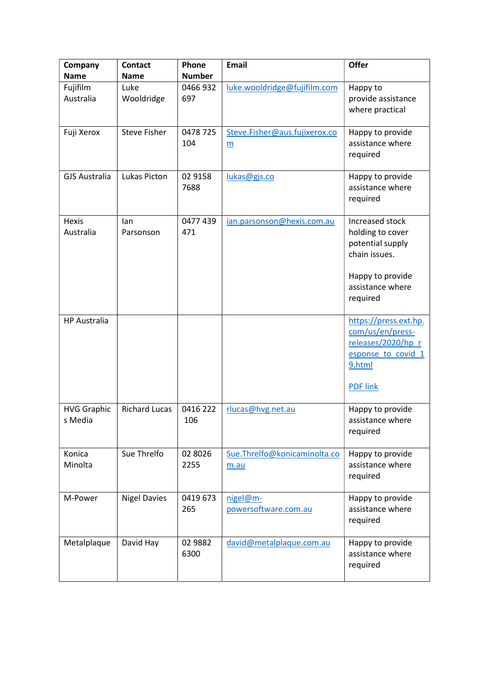| Company                       | <b>Contact</b>       | Phone           | <b>Email</b>                                     | <b>Offer</b>                                                                                                                 |
|-------------------------------|----------------------|-----------------|--------------------------------------------------|------------------------------------------------------------------------------------------------------------------------------|
| <b>Name</b>                   | <b>Name</b>          | <b>Number</b>   |                                                  |                                                                                                                              |
| Fujifilm<br>Australia         | Luke<br>Wooldridge   | 0466932<br>697  | luke.wooldridge@fujifilm.com                     | Happy to<br>provide assistance<br>where practical                                                                            |
| Fuji Xerox                    | <b>Steve Fisher</b>  | 0478 725<br>104 | Steve.Fisher@aus.fujixerox.co<br>$\underline{m}$ | Happy to provide<br>assistance where<br>required                                                                             |
| <b>GJS Australia</b>          | Lukas Picton         | 02 9158<br>7688 | lukas@gjs.co                                     | Happy to provide<br>assistance where<br>required                                                                             |
| <b>Hexis</b><br>Australia     | lan<br>Parsonson     | 0477 439<br>471 | ian.parsonson@hexis.com.au                       | Increased stock<br>holding to cover<br>potential supply<br>chain issues.<br>Happy to provide<br>assistance where<br>required |
| <b>HP Australia</b>           |                      |                 |                                                  | https://press.ext.hp.<br>com/us/en/press-<br>releases/2020/hp r<br>esponse to covid 1<br>9.html<br><b>PDF</b> link           |
| <b>HVG Graphic</b><br>s Media | <b>Richard Lucas</b> | 0416 222<br>106 | rlucas@hvg.net.au                                | Happy to provide<br>assistance where<br>required                                                                             |
| Konica<br>Minolta             | Sue Threlfo          | 02 8026<br>2255 | Sue.Threlfo@konicaminolta.co<br>m.au             | Happy to provide<br>assistance where<br>required                                                                             |
| M-Power                       | <b>Nigel Davies</b>  | 0419 673<br>265 | nigel@m-<br>powersoftware.com.au                 | Happy to provide<br>assistance where<br>required                                                                             |
| Metalplaque                   | David Hay            | 02 9882<br>6300 | david@metalplaque.com.au                         | Happy to provide<br>assistance where<br>required                                                                             |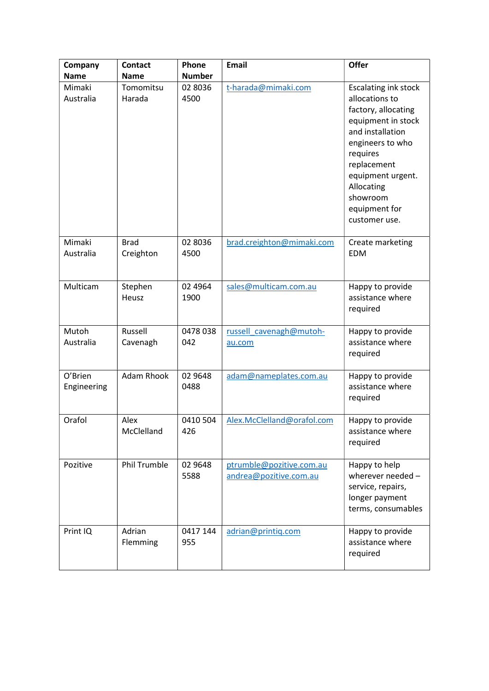| Company                | <b>Contact</b>           | Phone            | Email                                              | <b>Offer</b>                                                                                                                                                                                                                                   |
|------------------------|--------------------------|------------------|----------------------------------------------------|------------------------------------------------------------------------------------------------------------------------------------------------------------------------------------------------------------------------------------------------|
| <b>Name</b>            | <b>Name</b>              | <b>Number</b>    |                                                    |                                                                                                                                                                                                                                                |
| Mimaki<br>Australia    | Tomomitsu<br>Harada      | 02 8036<br>4500  | t-harada@mimaki.com                                | <b>Escalating ink stock</b><br>allocations to<br>factory, allocating<br>equipment in stock<br>and installation<br>engineers to who<br>requires<br>replacement<br>equipment urgent.<br>Allocating<br>showroom<br>equipment for<br>customer use. |
| Mimaki<br>Australia    | <b>Brad</b><br>Creighton | 02 8036<br>4500  | brad.creighton@mimaki.com                          | Create marketing<br><b>EDM</b>                                                                                                                                                                                                                 |
| Multicam               | Stephen<br>Heusz         | 02 49 64<br>1900 | sales@multicam.com.au                              | Happy to provide<br>assistance where<br>required                                                                                                                                                                                               |
| Mutoh<br>Australia     | Russell<br>Cavenagh      | 0478 038<br>042  | russell cavenagh@mutoh-<br>au.com                  | Happy to provide<br>assistance where<br>required                                                                                                                                                                                               |
| O'Brien<br>Engineering | <b>Adam Rhook</b>        | 02 9648<br>0488  | adam@nameplates.com.au                             | Happy to provide<br>assistance where<br>required                                                                                                                                                                                               |
| Orafol                 | Alex<br>McClelland       | 0410 504<br>426  | Alex.McClelland@orafol.com                         | Happy to provide<br>assistance where<br>required                                                                                                                                                                                               |
| Pozitive               | <b>Phil Trumble</b>      | 02 9648<br>5588  | ptrumble@pozitive.com.au<br>andrea@pozitive.com.au | Happy to help<br>wherever needed -<br>service, repairs,<br>longer payment<br>terms, consumables                                                                                                                                                |
| Print IQ               | Adrian<br>Flemming       | 0417 144<br>955  | adrian@printiq.com                                 | Happy to provide<br>assistance where<br>required                                                                                                                                                                                               |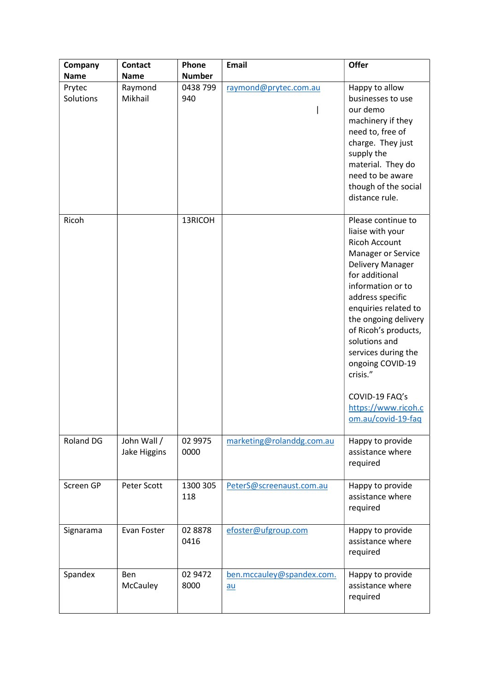| Company             | <b>Contact</b>                | Phone           | Email                             | Offer                                                                                                                                                                                                                                                                                                                                                                              |
|---------------------|-------------------------------|-----------------|-----------------------------------|------------------------------------------------------------------------------------------------------------------------------------------------------------------------------------------------------------------------------------------------------------------------------------------------------------------------------------------------------------------------------------|
| <b>Name</b>         | <b>Name</b>                   | <b>Number</b>   |                                   |                                                                                                                                                                                                                                                                                                                                                                                    |
| Prytec<br>Solutions | Raymond<br>Mikhail            | 0438 799<br>940 | raymond@prytec.com.au             | Happy to allow<br>businesses to use<br>our demo<br>machinery if they<br>need to, free of<br>charge. They just<br>supply the<br>material. They do<br>need to be aware<br>though of the social<br>distance rule.                                                                                                                                                                     |
| Ricoh               |                               | 13RICOH         |                                   | Please continue to<br>liaise with your<br><b>Ricoh Account</b><br>Manager or Service<br>Delivery Manager<br>for additional<br>information or to<br>address specific<br>enquiries related to<br>the ongoing delivery<br>of Ricoh's products,<br>solutions and<br>services during the<br>ongoing COVID-19<br>crisis."<br>COVID-19 FAQ's<br>https://www.ricoh.c<br>om.au/covid-19-faq |
| Roland DG           | John Wall /<br>Jake Higgins   | 02 9975<br>0000 | marketing@rolanddg.com.au         | Happy to provide<br>assistance where<br>required                                                                                                                                                                                                                                                                                                                                   |
| Screen GP           | Peter Scott                   | 1300 305<br>118 | PeterS@screenaust.com.au          | Happy to provide<br>assistance where<br>required                                                                                                                                                                                                                                                                                                                                   |
| Signarama           | Evan Foster                   | 02 8878<br>0416 | efoster@ufgroup.com               | Happy to provide<br>assistance where<br>required                                                                                                                                                                                                                                                                                                                                   |
| Spandex             | <b>Ben</b><br><b>McCauley</b> | 02 9472<br>8000 | ben.mccauley@spandex.com.<br>$au$ | Happy to provide<br>assistance where<br>required                                                                                                                                                                                                                                                                                                                                   |